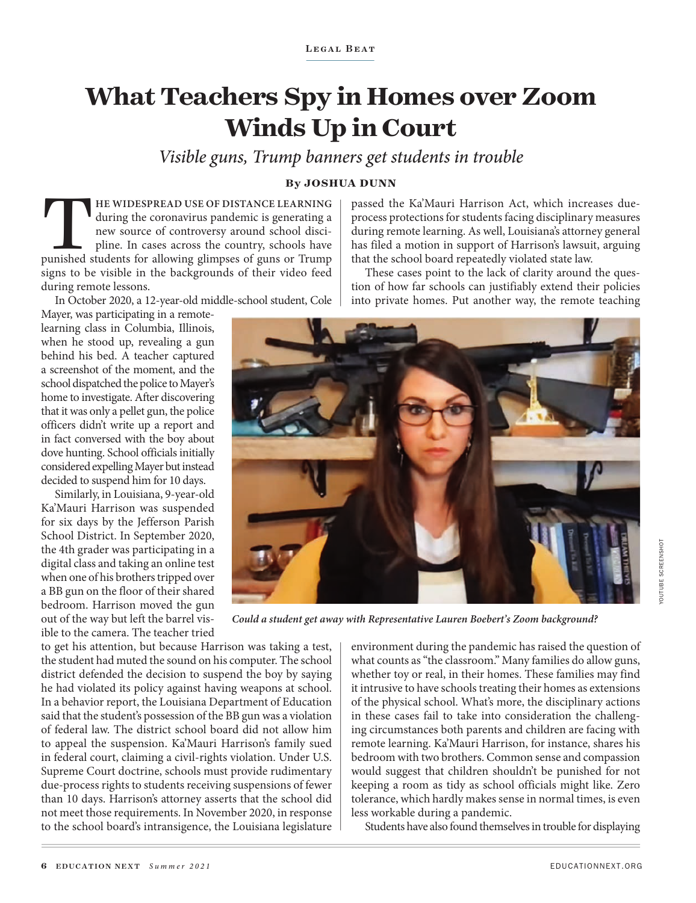## **What Teachers Spy in Homes over Zoom Winds Up in Court**

*Visible guns, Trump banners get students in trouble*

#### **By JOSHUA DUNN**

**THE WIDESPREAD USE OF DISTANCE LEARNING**<br>
during the coronavirus pandemic is generating a<br>
new source of controversy around school disci-<br>
pline. In cases across the country, schools have<br>
punished students for allowing g during the coronavirus pandemic is generating a new source of controversy around school discipline. In cases across the country, schools have signs to be visible in the backgrounds of their video feed during remote lessons.

In October 2020, a 12-year-old middle-school student, Cole

Mayer, was participating in a remotelearning class in Columbia, Illinois, when he stood up, revealing a gun behind his bed. A teacher captured a screenshot of the moment, and the school dispatched the police to Mayer's home to investigate. After discovering that it was only a pellet gun, the police officers didn't write up a report and in fact conversed with the boy about dove hunting. School officials initially considered expelling Mayer but instead decided to suspend him for 10 days.

Similarly, in Louisiana, 9-year-old Ka'Mauri Harrison was suspended for six days by the Jefferson Parish School District. In September 2020, the 4th grader was participating in a digital class and taking an online test when one of his brothers tripped over a BB gun on the floor of their shared bedroom. Harrison moved the gun out of the way but left the barrel visible to the camera. The teacher tried

passed the Ka'Mauri Harrison Act, which increases dueprocess protections for students facing disciplinary measures during remote learning. As well, Louisiana's attorney general has filed a motion in support of Harrison's lawsuit, arguing that the school board repeatedly violated state law.

These cases point to the lack of clarity around the question of how far schools can justifiably extend their policies into private homes. Put another way, the remote teaching



*Could a student get away with Representative Lauren Boebert's Zoom background?*

to get his attention, but because Harrison was taking a test, the student had muted the sound on his computer. The school district defended the decision to suspend the boy by saying he had violated its policy against having weapons at school. In a behavior report, the Louisiana Department of Education said that the student's possession of the BB gun was a violation of federal law. The district school board did not allow him to appeal the suspension. Ka'Mauri Harrison's family sued in federal court, claiming a civil-rights violation. Under U.S. Supreme Court doctrine, schools must provide rudimentary due-process rights to students receiving suspensions of fewer than 10 days. Harrison's attorney asserts that the school did not meet those requirements. In November 2020, in response to the school board's intransigence, the Louisiana legislature environment during the pandemic has raised the question of what counts as "the classroom." Many families do allow guns, whether toy or real, in their homes. These families may find it intrusive to have schools treating their homes as extensions of the physical school. What's more, the disciplinary actions in these cases fail to take into consideration the challenging circumstances both parents and children are facing with remote learning. Ka'Mauri Harrison, for instance, shares his bedroom with two brothers. Common sense and compassion would suggest that children shouldn't be punished for not keeping a room as tidy as school officials might like. Zero tolerance, which hardly makes sense in normal times, is even less workable during a pandemic.

Students have also found themselves in trouble for displaying